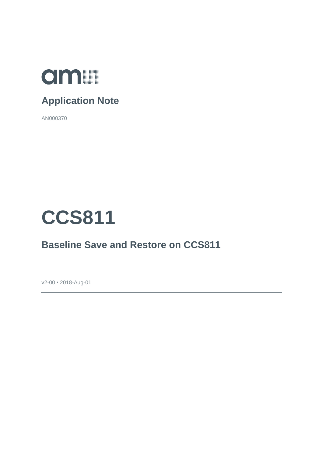

#### **Application Note**

AN000370



#### **Baseline Save and Restore on CCS811**

v2-00 • 2018-Aug-01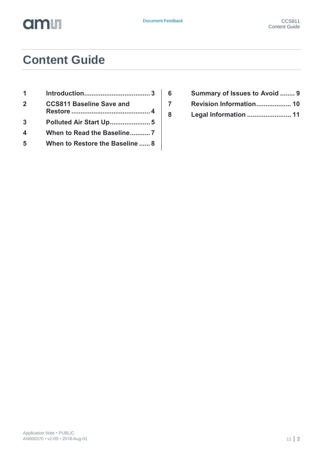## **Content Guide**

| -1               |                                 |
|------------------|---------------------------------|
| $\mathbf 2$      | <b>CCS811 Baseline Save and</b> |
| 3                |                                 |
| $\boldsymbol{4}$ | When to Read the Baseline7      |
| 5                | When to Restore the Baseline  8 |

- **6 [Summary of Issues to Avoid](#page-8-0) ........ 9 7 [Revision Information...................](#page-9-0) 10**
- **8 [Legal Information](#page-10-0) ........................ 11**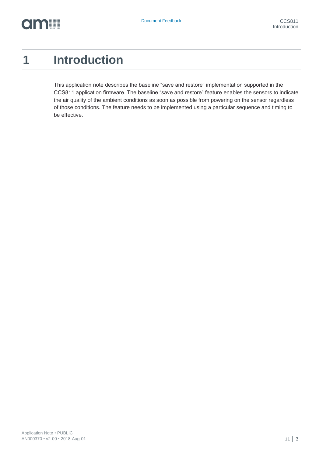### <span id="page-2-0"></span>**1 Introduction**

This application note describes the baseline "save and restore" implementation supported in the CCS811 application firmware. The baseline "save and restore" feature enables the sensors to indicate the air quality of the ambient conditions as soon as possible from powering on the sensor regardless of those conditions. The feature needs to be implemented using a particular sequence and timing to be effective.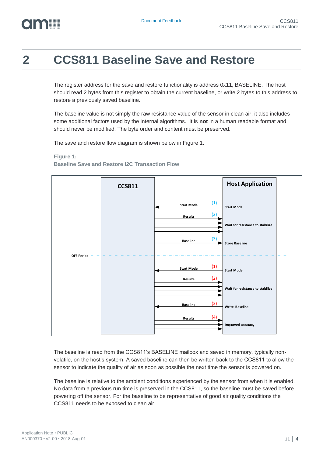## **Olonu**

### <span id="page-3-0"></span>**2 CCS811 Baseline Save and Restore**

The register address for the save and restore functionality is address 0x11, BASELINE. The host should read 2 bytes from this register to obtain the current baseline, or write 2 bytes to this address to restore a previously saved baseline.

The baseline value is not simply the raw resistance value of the sensor in clean air, it also includes some additional factors used by the internal algorithms. It is **not** in a human readable format and should never be modified. The byte order and content must be preserved.

The save and restore flow diagram is shown below in [Figure 1.](#page-3-1)

#### <span id="page-3-1"></span>**Figure 1: Baseline Save and Restore I2C Transaction Flow**



The baseline is read from the CCS811's BASELINE mailbox and saved in memory, typically nonvolatile, on the host's system. A saved baseline can then be written back to the CCS811 to allow the sensor to indicate the quality of air as soon as possible the next time the sensor is powered on.

The baseline is relative to the ambient conditions experienced by the sensor from when it is enabled. No data from a previous run time is preserved in the CCS811, so the baseline must be saved before powering off the sensor. For the baseline to be representative of good air quality conditions the CCS811 needs to be exposed to clean air.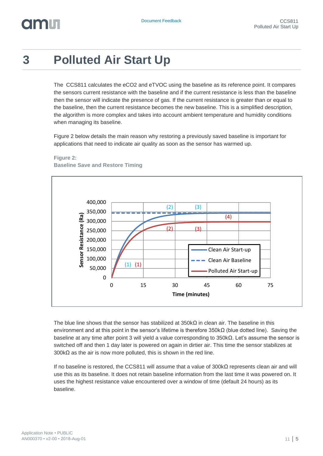# **OITALLE**

## <span id="page-4-0"></span>**3 Polluted Air Start Up**

The CCS811 calculates the eCO2 and eTVOC using the baseline as its reference point. It compares the sensors current resistance with the baseline and if the current resistance is less than the baseline then the sensor will indicate the presence of gas. If the current resistance is greater than or equal to the baseline, then the current resistance becomes the new baseline. This is a simplified description, the algorithm is more complex and takes into account ambient temperature and humidity conditions when managing its baseline.

[Figure 2](#page-4-1) below details the main reason why restoring a previously saved baseline is important for applications that need to indicate air quality as soon as the sensor has warmed up.



<span id="page-4-1"></span>**Figure 2: Baseline Save and Restore Timing**

The blue line shows that the sensor has stabilized at 350kΩ in clean air. The baseline in this environment and at this point in the sensor's lifetime is therefore 350kΩ (blue dotted line). Saving the baseline at any time after point 3 will yield a value corresponding to 350kΩ. Let's assume the sensor is switched off and then 1 day later is powered on again in dirtier air. This time the sensor stabilizes at 300kΩ as the air is now more polluted, this is shown in the red line.

If no baseline is restored, the CCS811 will assume that a value of 300kΩ represents clean air and will use this as its baseline. It does not retain baseline information from the last time it was powered on. It uses the highest resistance value encountered over a window of time (default 24 hours) as its baseline.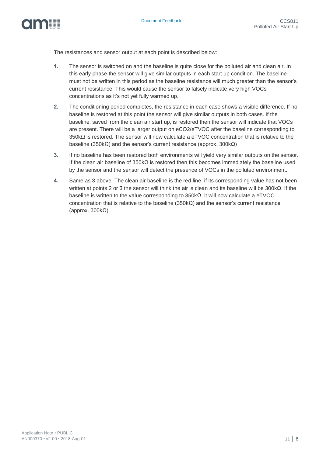

The resistances and sensor output at each point is described below:

- **1.** The sensor is switched on and the baseline is quite close for the polluted air and clean air. In this early phase the sensor will give similar outputs in each start up condition. The baseline must not be written in this period as the baseline resistance will much greater than the sensor's current resistance. This would cause the sensor to falsely indicate very high VOCs concentrations as it's not yet fully warmed up.
- **2.** The conditioning period completes, the resistance in each case shows a visible difference. If no baseline is restored at this point the sensor will give similar outputs in both cases. If the baseline, saved from the clean air start up, is restored then the sensor will indicate that VOCs are present. There will be a larger output on eCO2/eTVOC after the baseline corresponding to 350kΩ is restored. The sensor will now calculate a eTVOC concentration that is relative to the baseline (350kΩ) and the sensor's current resistance (approx. 300kΩ)
- **3.** If no baseline has been restored both environments will yield very similar outputs on the sensor. If the clean air baseline of  $350k\Omega$  is restored then this becomes immediately the baseline used by the sensor and the sensor will detect the presence of VOCs in the polluted environment.
- **4.** Same as 3 above. The clean air baseline is the red line, if its corresponding value has not been written at points 2 or 3 the sensor will think the air is clean and its baseline will be 300kΩ. If the baseline is written to the value corresponding to  $350k\Omega$ , it will now calculate a eTVOC concentration that is relative to the baseline (350kΩ) and the sensor's current resistance (approx. 300kΩ).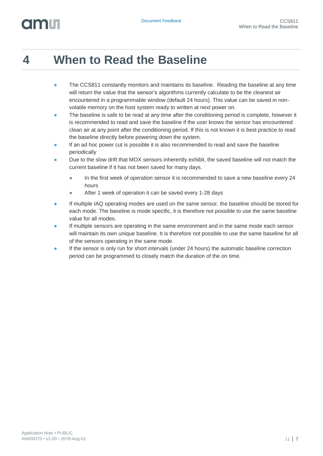## <span id="page-6-0"></span>**4 When to Read the Baseline**

- The CCS811 constantly monitors and maintains its baseline. Reading the baseline at any time will return the value that the sensor's algorithms currently calculate to be the cleanest air encountered in a programmable window (default 24 hours). This value can be saved in nonvolatile memory on the host system ready to written at next power on.
- **•** The baseline is safe to be read at any time after the conditioning period is complete, however it is recommended to read and save the baseline if the user knows the sensor has encountered clean air at any point after the conditioning period. If this is not known it is best practice to read the baseline directly before powering down the system.
- If an ad hoc power cut is possible it is also recommended to read and save the baseline periodically
- Due to the slow drift that MOX sensors inherently exhibit, the saved baseline will not match the current baseline if it has not been saved for many days.
	- **●** In the first week of operation sensor it is recommended to save a new baseline every 24 hours
	- After 1 week of operation it can be saved every 1-28 days
- **●** If multiple IAQ operating modes are used on the same sensor, the baseline should be stored for each mode. The baseline is mode specific, it is therefore not possible to use the same baseline value for all modes.
- If multiple sensors are operating in the same environment and in the same mode each sensor will maintain its own unique baseline. It is therefore not possible to use the same baseline for all of the sensors operating in the same mode.
- **•** If the sensor is only run for short intervals (under 24 hours) the automatic baseline correction period can be programmed to closely match the duration of the on time.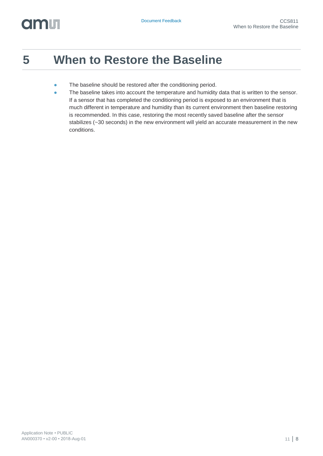#### <span id="page-7-0"></span>**5 When to Restore the Baseline**

- **•** The baseline should be restored after the conditioning period.
- **•** The baseline takes into account the temperature and humidity data that is written to the sensor. If a sensor that has completed the conditioning period is exposed to an environment that is much different in temperature and humidity than its current environment then baseline restoring is recommended. In this case, restoring the most recently saved baseline after the sensor stabilizes (~30 seconds) in the new environment will yield an accurate measurement in the new conditions.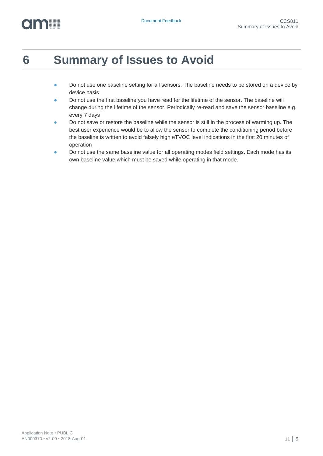# dm **I**

## <span id="page-8-0"></span>**6 Summary of Issues to Avoid**

- **•** Do not use one baseline setting for all sensors. The baseline needs to be stored on a device by device basis.
- **●** Do not use the first baseline you have read for the lifetime of the sensor. The baseline will change during the lifetime of the sensor. Periodically re-read and save the sensor baseline e.g. every 7 days
- **•** Do not save or restore the baseline while the sensor is still in the process of warming up. The best user experience would be to allow the sensor to complete the conditioning period before the baseline is written to avoid falsely high eTVOC level indications in the first 20 minutes of operation
- **●** Do not use the same baseline value for all operating modes field settings. Each mode has its own baseline value which must be saved while operating in that mode.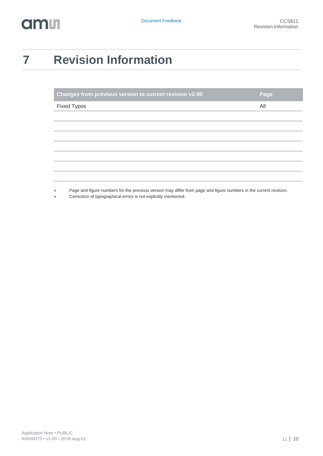## <span id="page-9-0"></span>**7 Revision Information**

| Changes from previous version to current revision v2-00                                                                            | Page |
|------------------------------------------------------------------------------------------------------------------------------------|------|
| <b>Fixed Typos</b>                                                                                                                 | All  |
|                                                                                                                                    |      |
|                                                                                                                                    |      |
|                                                                                                                                    |      |
|                                                                                                                                    |      |
|                                                                                                                                    |      |
|                                                                                                                                    |      |
|                                                                                                                                    |      |
| David and Corner properties for the monitories reporting press different press and Corner property in the property of the property |      |

**●** Page and figure numbers for the previous version may differ from page and figure numbers in the current revision.

Correction of typographical errors is not explicitly mentioned.